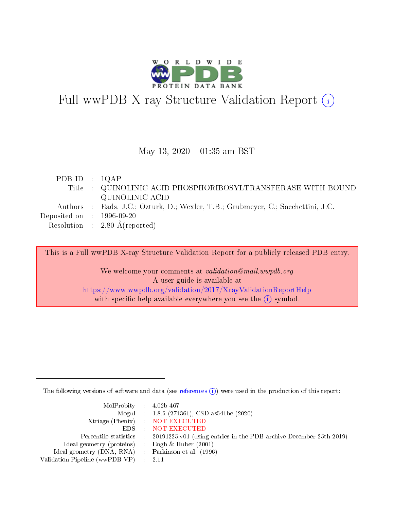

# Full wwPDB X-ray Structure Validation Report (i)

### May 13,  $2020 - 01:35$  am BST

| PDB ID : $1QAP$                      |                                                                                  |
|--------------------------------------|----------------------------------------------------------------------------------|
|                                      | Title : QUINOLINIC ACID PHOSPHORIBOSYLTRANSFERASE WITH BOUND                     |
|                                      | QUINOLINIC ACID                                                                  |
|                                      | Authors : Eads, J.C.; Ozturk, D.; Wexler, T.B.; Grubmeyer, C.; Sacchettini, J.C. |
| Deposited on $\therefore$ 1996-09-20 |                                                                                  |
|                                      | Resolution : $2.80 \text{ Å}$ (reported)                                         |
|                                      |                                                                                  |

This is a Full wwPDB X-ray Structure Validation Report for a publicly released PDB entry.

We welcome your comments at validation@mail.wwpdb.org A user guide is available at <https://www.wwpdb.org/validation/2017/XrayValidationReportHelp> with specific help available everywhere you see the  $(i)$  symbol.

The following versions of software and data (see [references](https://www.wwpdb.org/validation/2017/XrayValidationReportHelp#references)  $(i)$ ) were used in the production of this report:

| MolProbity : $4.02b-467$                            |                                                                                            |
|-----------------------------------------------------|--------------------------------------------------------------------------------------------|
|                                                     | Mogul : 1.8.5 (274361), CSD as541be (2020)                                                 |
|                                                     | Xtriage (Phenix) NOT EXECUTED                                                              |
|                                                     | EDS : NOT EXECUTED                                                                         |
|                                                     | Percentile statistics : 20191225.v01 (using entries in the PDB archive December 25th 2019) |
| Ideal geometry (proteins) : Engh $\&$ Huber (2001)  |                                                                                            |
| Ideal geometry (DNA, RNA) : Parkinson et al. (1996) |                                                                                            |
| Validation Pipeline (wwPDB-VP) : 2.11               |                                                                                            |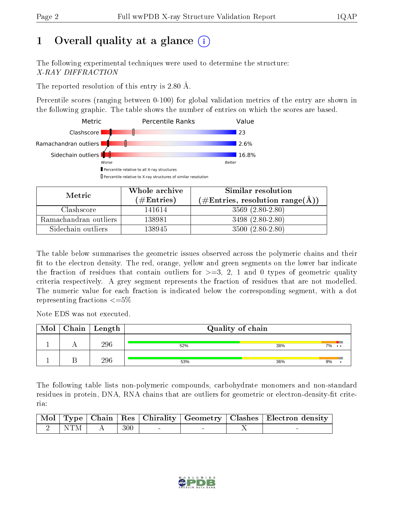# 1 [O](https://www.wwpdb.org/validation/2017/XrayValidationReportHelp#overall_quality)verall quality at a glance  $(i)$

The following experimental techniques were used to determine the structure: X-RAY DIFFRACTION

The reported resolution of this entry is 2.80 Å.

Percentile scores (ranging between 0-100) for global validation metrics of the entry are shown in the following graphic. The table shows the number of entries on which the scores are based.



| Metric                | Whole archive<br>$(\#\text{Entries})$ | Similar resolution<br>$(\#\text{Entries}, \text{resolution range}(\text{\AA}))$ |
|-----------------------|---------------------------------------|---------------------------------------------------------------------------------|
| Clashscore            | 141614                                | $3569(2.80-2.80)$                                                               |
| Ramachandran outliers | 138981                                | 3498 (2.80-2.80)                                                                |
| Sidechain outliers    | 138945                                | $3500(2.80-2.80)$                                                               |

The table below summarises the geometric issues observed across the polymeric chains and their fit to the electron density. The red, orange, yellow and green segments on the lower bar indicate the fraction of residues that contain outliers for  $\geq=3$ , 2, 1 and 0 types of geometric quality criteria respectively. A grey segment represents the fraction of residues that are not modelled. The numeric value for each fraction is indicated below the corresponding segment, with a dot representing fractions  $\epsilon = 5\%$ 

Note EDS was not executed.

| Mol | $Chain \  Length$ | Quality of chain |     |     |  |  |
|-----|-------------------|------------------|-----|-----|--|--|
|     | 296               | 52%              | 38% | 7%. |  |  |
|     | 296               | 53%              | 36% | 9%  |  |  |

The following table lists non-polymeric compounds, carbohydrate monomers and non-standard residues in protein, DNA, RNA chains that are outliers for geometric or electron-density-fit criteria:

|  |                   |  |  | Mol   Type   Chain   Res   Chirality   Geometry   Clashes   Electron density |
|--|-------------------|--|--|------------------------------------------------------------------------------|
|  | $2$ NTM $A$ $300$ |  |  |                                                                              |

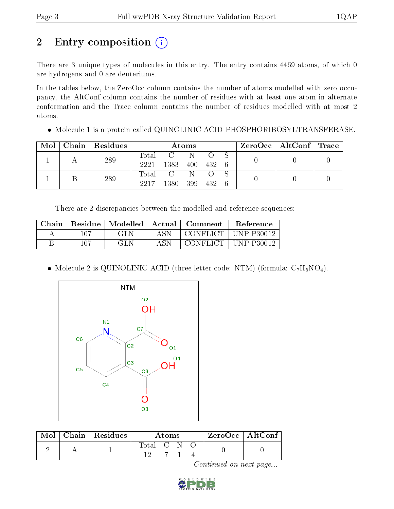# 2 Entry composition (i)

There are 3 unique types of molecules in this entry. The entry contains 4469 atoms, of which 0 are hydrogens and 0 are deuteriums.

In the tables below, the ZeroOcc column contains the number of atoms modelled with zero occupancy, the AltConf column contains the number of residues with at least one atom in alternate conformation and the Trace column contains the number of residues modelled with at most 2 atoms.

Molecule 1 is a protein called QUINOLINIC ACID PHOSPHORIBOSYLTRANSFERASE.

| Mol | Chain   Residues | Atoms |                |     |     |     |  | $\text{ZeroOcc} \mid \text{AltConf} \mid \text{Trace}$ |  |
|-----|------------------|-------|----------------|-----|-----|-----|--|--------------------------------------------------------|--|
|     | 289              | Total | $\mathcal{C}$  | N   |     |     |  |                                                        |  |
|     |                  | 2221  | 1383           | 400 | 432 | - 6 |  |                                                        |  |
|     | 289              | Total | $\overline{C}$ | N.  |     |     |  |                                                        |  |
|     |                  | 2217  | 1380           | 399 | 432 | -6  |  |                                                        |  |

There are 2 discrepancies between the modelled and reference sequences:

| Chain. | Residue | Modelled   Actual |     | Comment    | <b>Reference</b> |
|--------|---------|-------------------|-----|------------|------------------|
|        | 107     | GL N              | ASN | CONFLICT   | ∣ UNP P30012     |
|        | 107     | GL N              | ASN | CONFLICT + | $+$ UNP P30012   |

• Molecule 2 is QUINOLINIC ACID (three-letter code: NTM) (formula:  $C_7H_5NO_4$ ).



| Mol | $\alpha$ Chain   Residues | A toms    |  |  | $\rm ZeroOcc$   Alt $\rm Conf$ |  |
|-----|---------------------------|-----------|--|--|--------------------------------|--|
|     |                           | Total C N |  |  |                                |  |

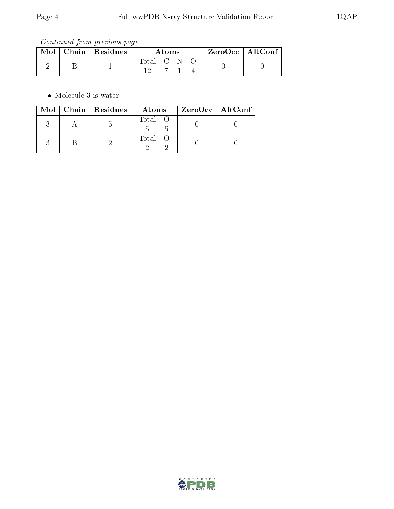Continued from previous page...

| $\text{Mol}$ | $\mid$ Chain $\mid$ Residues | A toms      |  |  | $ZeroOcc \mid AltConf$ |  |
|--------------|------------------------------|-------------|--|--|------------------------|--|
|              |                              | Total C N O |  |  |                        |  |

• Molecule 3 is water.

|  | Mol   Chain   Residues | Atoms   | ZeroOcc   AltConf |
|--|------------------------|---------|-------------------|
|  |                        | Total O |                   |
|  |                        | Total O |                   |

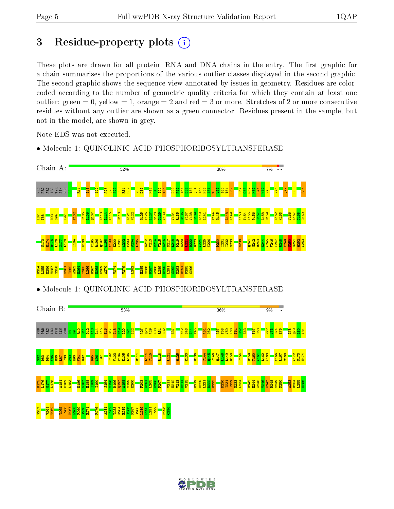# 3 Residue-property plots  $(i)$

These plots are drawn for all protein, RNA and DNA chains in the entry. The first graphic for a chain summarises the proportions of the various outlier classes displayed in the second graphic. The second graphic shows the sequence view annotated by issues in geometry. Residues are colorcoded according to the number of geometric quality criteria for which they contain at least one outlier: green  $= 0$ , yellow  $= 1$ , orange  $= 2$  and red  $= 3$  or more. Stretches of 2 or more consecutive residues without any outlier are shown as a green connector. Residues present in the sample, but not in the model, are shown in grey.

Note EDS was not executed.



• Molecule 1: QUINOLINIC ACID PHOSPHORIBOSYLTRANSFERASE

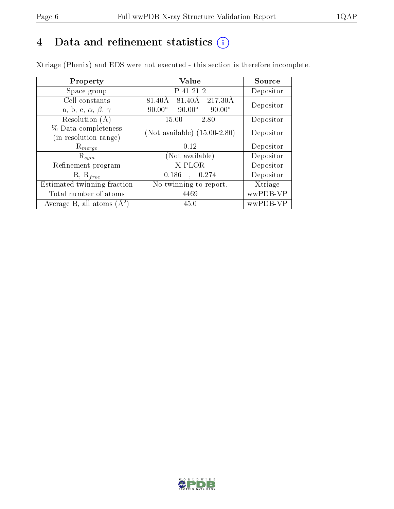# 4 Data and refinement statistics  $(i)$

Xtriage (Phenix) and EDS were not executed - this section is therefore incomplete.

| Property                               | <b>Value</b>                                    | Source    |
|----------------------------------------|-------------------------------------------------|-----------|
| Space group                            | P 41 21 2                                       | Depositor |
| Cell constants                         | 217.30Å<br>81.40Å<br>81.40Å                     | Depositor |
| a, b, c, $\alpha$ , $\beta$ , $\gamma$ | $90.00^\circ$<br>$90.00^\circ$<br>$90.00^\circ$ |           |
| Resolution $(A)$                       | 2.80<br>15.00                                   | Depositor |
| % Data completeness                    | (Not available) $(15.00-2.80)$                  | Depositor |
| (in resolution range)                  |                                                 |           |
| $\mathrm{R}_{merge}$                   | 0.12                                            | Depositor |
| $\mathrm{R}_{sym}$                     | (Not available)                                 | Depositor |
| Refinement program                     | X-PLOR                                          | Depositor |
| $R, R_{free}$                          | 0.186<br>0.274                                  | Depositor |
| Estimated twinning fraction            | No twinning to report.                          | Xtriage   |
| Total number of atoms                  | 4469                                            | wwPDB-VP  |
| Average B, all atoms $(A^2)$           | 45.0                                            | wwPDB-VP  |

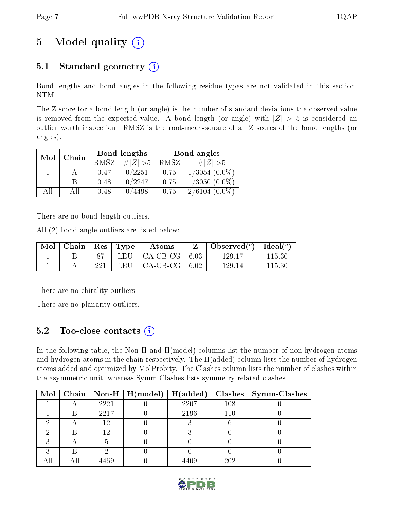# 5 Model quality  $(i)$

# 5.1 Standard geometry  $(i)$

Bond lengths and bond angles in the following residue types are not validated in this section: NTM

The Z score for a bond length (or angle) is the number of standard deviations the observed value is removed from the expected value. A bond length (or angle) with  $|Z| > 5$  is considered an outlier worth inspection. RMSZ is the root-mean-square of all Z scores of the bond lengths (or angles).

| Mol | Chain |             | Bond lengths | Bond angles |                    |  |
|-----|-------|-------------|--------------|-------------|--------------------|--|
|     |       | <b>RMSZ</b> | $\# Z  > 5$  | RMSZ        | $\# Z  > 5$        |  |
|     |       | 0.47        | 0/2251       | 0.75        | $1/3054$ $(0.0\%)$ |  |
|     | B     | 0.48        | 0/2247       | 0.75        | $1/3050(0.0\%)$    |  |
| AĦ  | АH    | 0.48        | 0/4498       | 0.75        | $2/6104(0.0\%)$    |  |

There are no bond length outliers.

All (2) bond angle outliers are listed below:

| $\bf{Mol}$ | $\mid$ Chain $\mid$ Res $\mid$ Type |     | Atoms                             | Observed $(^\circ)$   Ideal $(^\circ)$ |        |
|------------|-------------------------------------|-----|-----------------------------------|----------------------------------------|--------|
|            |                                     |     | LEU $\vert$ CA-CB-CG $\vert$ 6.03 | 129.17                                 | 115.30 |
|            |                                     | 221 | LEU $\vert$ CA-CB-CG $\vert$ 6.02 | 129.14                                 | 115.30 |

There are no chirality outliers.

There are no planarity outliers.

# 5.2 Too-close contacts  $\overline{a}$

In the following table, the Non-H and H(model) columns list the number of non-hydrogen atoms and hydrogen atoms in the chain respectively. The H(added) column lists the number of hydrogen atoms added and optimized by MolProbity. The Clashes column lists the number of clashes within the asymmetric unit, whereas Symm-Clashes lists symmetry related clashes.

|  |      | Mol   Chain   Non-H   H(model)   H(added) |      |     | $Clashes$   Symm-Clashes |
|--|------|-------------------------------------------|------|-----|--------------------------|
|  | 2221 |                                           | 2207 | 108 |                          |
|  | 2217 |                                           | 2196 | 110 |                          |
|  | 19   |                                           |      |     |                          |
|  | 1 ດ  |                                           |      |     |                          |
|  |      |                                           |      |     |                          |
|  |      |                                           |      |     |                          |
|  | 469  |                                           |      | 202 |                          |

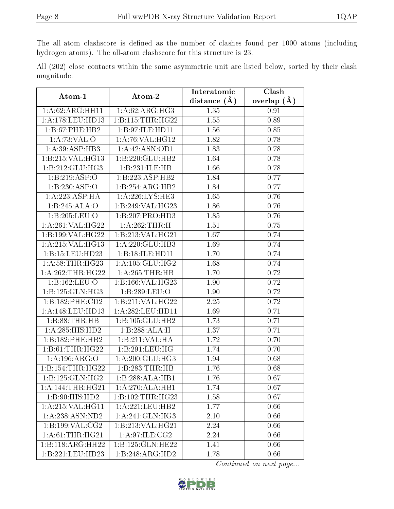The all-atom clashscore is defined as the number of clashes found per 1000 atoms (including hydrogen atoms). The all-atom clashscore for this structure is 23.

|            |  |  | All (202) close contacts within the same asymmetric unit are listed below, sorted by their clash |  |  |  |  |
|------------|--|--|--------------------------------------------------------------------------------------------------|--|--|--|--|
| magnitude. |  |  |                                                                                                  |  |  |  |  |

| Atom-1              | Atom-2                       | Interatomic       | Clash         |  |
|---------------------|------------------------------|-------------------|---------------|--|
|                     |                              | distance $(A)$    | overlap $(A)$ |  |
| 1:A:62:ARG:HH11     | 1: A:62: ARG: HG3            | 1.35              | 0.91          |  |
| 1: A:178:LEU:HD13   | 1:B:115:THR:HG22             | 1.55              | 0.89          |  |
| 1:B:67:PHE:HB2      | 1:B:97:ILE:HD11              | 1.56              | 0.85          |  |
| 1: A:73: VAL:O      | 1: A:76: VAL:HG12            | 1.82              | 0.78          |  |
| 1:A:39:ASP:HB3      | 1:A:42:ASN:OD1               | 1.83              | 0.78          |  |
| 1:B:215:VAL:HG13    | 1:B:220:GLU:HB2              | 1.64              | 0.78          |  |
| 1:B:212:GLU:HG3     | 1:B:231:ILE:HB               | 1.66              | 0.78          |  |
| 1:B:219:ASP:O       | 1:B:223:ASP:HB2              | 1.84              | 0.77          |  |
| 1:B:230:ASP:O       | 1:B:254:ARG:HB2              | 1.84              | 0.77          |  |
| 1: A: 223: ASP:HA   | 1:A:226:LYS:HE3              | 1.65              | 0.76          |  |
| 1:B:245:ALA:O       | 1:B:249:VAL:HG23             | 1.86              | 0.76          |  |
| 1:B:205:LEU:O       | 1:B:207:PRO:HD3              | 1.85              | 0.76          |  |
| 1: A:261:VAL:HG22   | 1:A:262:THR:H                | 1.51              | 0.75          |  |
| 1:B:199:VAL:HG22    | 1:B:213:VAL:HG21             | 1.67              | 0.74          |  |
| 1:A:215:VAL:HG13    | 1:A:220:GLU:HB3              | 1.69              | 0.74          |  |
| 1:B:15:LEU:HD23     | 1:B:18:ILE:HD11              | 1.70              | 0.74          |  |
| 1: A:58:THR:HG23    | 1: A: 105: GLU: HG2          | 1.68              | 0.74          |  |
| 1: A:262:THR:HG22   | 1: A:265:THR:HB              | 1.70              | 0.72          |  |
| 1:B:162:LEU:O       | 1:B:166:VAL:HG23             | 1.90              | 0.72          |  |
| 1:B:125:GLN:HG3     | 1:B:289:LEU:O                | 1.90              | 0.72          |  |
| 1:B:182:PHE:CD2     | 1:B:211:VAL:HG22             | 2.25              | 0.72          |  |
| 1: A:148: LEU: HD13 | 1:A:282:LEU:HD11             | 1.69              | 0.71          |  |
| 1:B:88:THR:HB       | 1:B:105:GLU:HB2              | 1.73              | 0.71          |  |
| 1: A:285: HIS: HD2  | 1:B:288:ALA:H                | 1.37              | 0.71          |  |
| 1:B:182:PHE:HB2     | 1:B:211:VAL:HA               | 1.72              | 0.70          |  |
| 1:B:61:THR:HG22     | 1:B:291:LEU:HG               | 1.74              | 0.70          |  |
| 1: A:196: ARG:O     | 1:A:200:GLU:HG3              | $\overline{1.94}$ | 0.68          |  |
| 1:B:154:THR:HG22    | 1:B:283:THR:HB               | 1.76              | 0.68          |  |
| 1:B:125:GLN:HG2     | 1:B:288:ALA:HB1              | 1.76              | 0.67          |  |
| 1:A:144:THR:HG21    | 1:A:270:ALA:HB1              | 1.74              | 0.67          |  |
| 1:B:90:HIS:HD2      | 1:B:102:THR:HG23             | 1.58              | 0.67          |  |
| 1:A:215:VAL:HG11    | 1:A:221:LEU:HB2              | 1.77              | 0.66          |  |
| 1: A: 238: ASN: ND2 | 1:A:241:GLN:HG3              | 2.10              | 0.66          |  |
| 1:B:199:VAL:CG2     | 1:B:213:VAL:HG21             | 2.24              | 0.66          |  |
| 1: A:61:THR:HG21    | 1: A:97: ILE: CG2            | 2.24              | 0.66          |  |
| 1:B:118:ARG:HH22    | 1:B:125:GLN:HE22             | 1.41              | 0.66          |  |
| 1:B:221:LEU:HD23    | $1:B:248:A\overline{RG:HD2}$ | 1.78              | 0.66          |  |

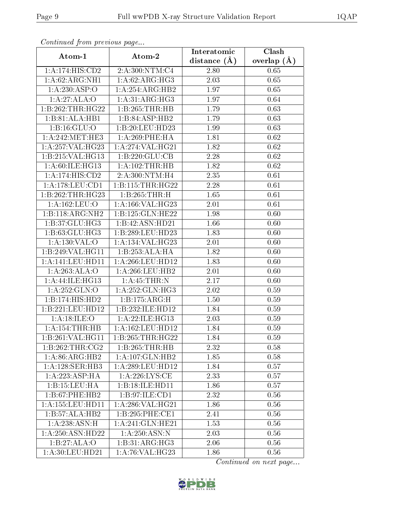| Communaca from previous page |                      | Interatomic      | Clash           |
|------------------------------|----------------------|------------------|-----------------|
| Atom-1                       | Atom-2               | distance $(\AA)$ | overlap $(\AA)$ |
| 1:A:174:HIS:CD2              | 2:A:300:NTM:C4       | 2.80             | 0.65            |
| 1:A:62:ARG:NH1               | 1: A:62: ARG: HG3    | 2.03             | 0.65            |
| 1:A:230:ASP:O                | 1:A:254:ARG:HB2      | 1.97             | 0.65            |
| 1:A:27:ALA:O                 | 1: A:31: ARG:HG3     | 1.97             | 0.64            |
| 1:B:262:THR:HG22             | 1:B:265:THR:HB       | 1.79             | 0.63            |
| 1:B:81:ALA:HB1               | 1:B:84:ASP:HB2       | 1.79             | 0.63            |
| 1: B: 16: GLU: O             | 1:B:20:LEU:HD23      | 1.99             | 0.63            |
| 1: A:242:MET:HE3             | 1:A:269:PHE:HA       | 1.81             | 0.62            |
| 1:A:257:VAL:HG23             | 1: A:274: VAL:HG21   | 1.82             | 0.62            |
| 1:B:215:VAL:HG13             | 1:B:220:GLU:CB       | 2.28             | 0.62            |
| 1:A:60:ILE:HG13              | 1:A:102:THR:HB       | 1.82             | 0.62            |
| 1:A:174:HIS:CD2              | 2:A:300:NTM:H4       | 2.35             | 0.61            |
| 1:A:178:LEU:CD1              | 1:B:115:THR:HG22     | 2.28             | 0.61            |
| 1:B:262:THR:HG23             | 1:B:265:THR:H        | 1.65             | 0.61            |
| $1:$ A:162:LEU:O             | 1:A:166:VAL:HG23     | 2.01             | 0.61            |
| 1:B:118:ARG:NH2              | 1:B:125:GLN:HE22     | 1.98             | 0.60            |
| 1:B:37:GLU:HG3               | 1:B:42:ASN:HD21      | 1.66             | 0.60            |
| 1:B:63:GLU:HG3               | 1:B:289:LEU:HD23     | 1.83             | 0.60            |
| 1:A:130:VAL:O                | 1:A:134:VAL:HG23     | 2.01             | 0.60            |
| 1:B:249:VAL:HG11             | 1:B:253:ALA:HA       | 1.82             | 0.60            |
| 1:A:141:LEU:HDI1             | 1:A:266:LEU:HD12     | 1.83             | 0.60            |
| 1:A:263:ALA:O                | 1: A:266:LEU:HB2     | 2.01             | 0.60            |
| 1:A:44:ILE:HG13              | 1: A:45:THR:N        | 2.17             | 0.60            |
| 1:A:252:GLN:O                | 1:A:252:GLN:HG3      | 2.02             | 0.59            |
| 1:B:174:HIS:HD2              | 1:B:175:ARG:H        | 1.50             | 0.59            |
| 1:B:221:LEU:HD12             | 1:B:232:ILE:HD12     | 1.84             | 0.59            |
| 1: A:18: ILE: O              | 1: A:22: ILE: HG13   | 2.03             | 0.59            |
| 1: A:154:THR:HB              | 1: A: 162: LEU: HD12 | 1.84             | 0.59            |
| 1:B:261:VAL:HG11             | 1:B:265:THR:HG22     | 1.84             | 0.59            |
| 1:B:262:THR:CG2              | 1:B:265:THR:HB       | 2.32             | 0.58            |
| $1:A:86:A\overline{RG:H}B2$  | 1: A: 107: GLN: HB2  | 1.85             | 0.58            |
| 1:A:128:SER:HB3              | 1:A:289:LEU:HD12     | 1.84             | 0.57            |
| 1: A:223:ASP:HA              | 1: A:226:LYS:CE      | 2.33             | 0.57            |
| 1:B:15:LEU:HA                | 1:B:18:ILE:HD11      | 1.86             | 0.57            |
| 1:B:67:PHE:HB2               | 1: B:97: ILE: CD1    | 2.32             | 0.56            |
| 1:A:155:LEU:HD11             | 1:A:286:VAL:HG21     | 1.86             | 0.56            |
| 1:B:57:ALA:HB2               | 1:B:295:PHE:CE1      | 2.41             | 0.56            |
| 1:A:238:ASN:H                | 1:A:241:GLN:HE21     | 1.53             | 0.56            |
| 1:A:250:ASN:HD22             | 1: A:250: ASN:N      | 2.03             | 0.56            |
| 1:B:27:ALA:O                 | 1:B:31:ARG:HG3       | 2.06             | 0.56            |
| 1:A:30:LEU:HD21              | 1:A:76:VAL:HG23      | 1.86             | 0.56            |

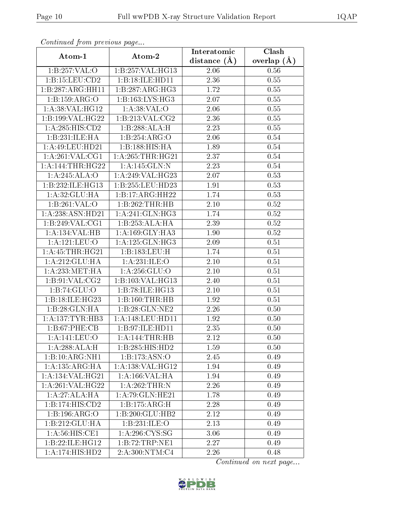|                              | Commaca jibin previous page       |                               | Clash         |  |  |
|------------------------------|-----------------------------------|-------------------------------|---------------|--|--|
| Atom-1                       | Atom-2                            | Interatomic<br>distance $(A)$ | overlap $(A)$ |  |  |
| 1:B:257:VAL:O                | 1:B:257:VAL:HG13                  | 2.06                          | 0.56          |  |  |
| 1: B:15: LEU:CD2             | 1:B:18:ILE:HD11                   | 2.36                          | 0.55          |  |  |
| 1:B:287:ARG:HH11             | 1:B:287:ARG:HG3                   | 1.72                          | 0.55          |  |  |
| 1:B:159:ARG:O                | 1: B: 163: LYS: HG3               | 2.07                          | 0.55          |  |  |
| 1:A:38:VAL:HG12              | 1: A:38: VAL:O                    | 2.06                          | 0.55          |  |  |
| 1:B:199:VAL:HG22             | 1: B:213: VAL: CG2                | 2.36                          | 0.55          |  |  |
| 1: A:285: HIS: CD2           | 1:B:288:ALA:H                     | 2.23                          | 0.55          |  |  |
| 1:B:231:ILE:HA               | 1:B:254:ARG:O                     | 2.06                          | 0.54          |  |  |
| 1: A:49: LEU: HD21           | 1:B:188:HIS:HA                    | 1.89                          | 0.54          |  |  |
| 1: A:261:VAL:CG1             | 1: A:265:THR:HG21                 | 2.37                          | 0.54          |  |  |
| 1: A:144:THR:HG22            | 1:A:145:GLN:N                     | 2.23                          | 0.54          |  |  |
| 1:A:245:ALA:O                | 1:A:249:VAL:HG23                  | 2.07                          | 0.53          |  |  |
| 1:B:232:ILE:HG13             | 1:B:255:LEU:HD23                  | 1.91                          | 0.53          |  |  |
| 1: A:32: GLU: HA             | $1:B:17:ARG:\overline{HH22}$      | 1.74                          | 0.53          |  |  |
| 1:B:261:VAL:O                | 1:B:262:THR:HB                    | 2.10                          | 0.52          |  |  |
| 1:A:238:ASN:HD21             | 1:A:241:GLN:HG3                   | 1.74                          | 0.52          |  |  |
| 1:B:249:VAL:CG1              | 1:B:253:ALA:HA                    | 2.39                          | $0.52\,$      |  |  |
| 1:A:134:VAL:HB               | 1: A:169: GLY:HA3                 | 1.90                          | 0.52          |  |  |
| 1:A:121:EU:O                 | 1:A:125:GLN:HG3                   | 2.09                          | 0.51          |  |  |
| 1: A: 45: THR: HG21          | 1:B:183:LEU:H                     | 1.74                          | 0.51          |  |  |
| 1:A:212:GLU:HA               | 1:A:231:ILE:O                     | 2.10                          | 0.51          |  |  |
| 1: A: 233: MET: HA           | 1:A:256:GLU:O                     | 2.10                          | 0.51          |  |  |
| 1:B:91:VAL:CG2               | 1:B:103:VAL:HG13                  | 2.40                          | 0.51          |  |  |
| 1:B:74:GLU:O                 | 1:B:78:ILE:HG13                   | 2.10                          | 0.51          |  |  |
| 1:B:18:ILE:HG23              | 1:B:160:THR:HB                    | 1.92                          | 0.51          |  |  |
| 1:B:28:GLN:HA                | 1:B:28:GLN:NE2                    | $\overline{2}.26$             | 0.50          |  |  |
| 1:A:137:TYR:HB3              | 1:A:148:LEU:HD11                  | 1.92                          | 0.50          |  |  |
| 1: B:67: PHE:CB              | 1:B:97:ILE:HD11                   | 2.35                          | 0.50          |  |  |
| 1:A:141:LEU:O                | 1: A:144:THR:HB                   | 2.12                          | 0.50          |  |  |
| 1:A:288:ALA:H                | 1:B:285:HIS:HD2                   | 1.59                          | 0.50          |  |  |
| 1:B:10:ARG:NH1               | 1: B: 173: ASN: O                 | 2.45                          | 0.49          |  |  |
| 1:A:135:ARG:HA               | 1: A: 138: VAL: HG12              | 1.94                          | 0.49          |  |  |
| 1:A:134:VAL:HG21             | 1:A:166:VAL:HA                    | 1.94                          | 0.49          |  |  |
| 1:A:261:VAL:HG22             | 1:A:262:THR:N                     | 2.26                          | 0.49          |  |  |
| 1:A:27:ALA:HA                | 1: A:79: GLN: HE21                | 1.78                          | 0.49          |  |  |
| $1:B:\overline{174:HIS:CD2}$ | 1:B:175:ARG:H                     | 2.28                          | 0.49          |  |  |
| 1:B:196:ARG:O                | 1:B:200:GLU:HB2                   | 2.12                          | 0.49          |  |  |
| 1:B:212:GLU:HA               | $1:B:231:\overline{\text{ILE}:O}$ | 2.13                          | 0.49          |  |  |
| 1: A:56: HIS: CE1            | 1: A:296: CYS:SG                  | 3.06                          | 0.49          |  |  |
| 1:B:22:ILE:HG12              | 1:B:72:TRP:NE1                    | $\overline{2}.27$             | 0.49          |  |  |
| 1:A:174:HIS:HD2              | 2:A:300:NTM:C4                    | 2.26                          | 0.48          |  |  |

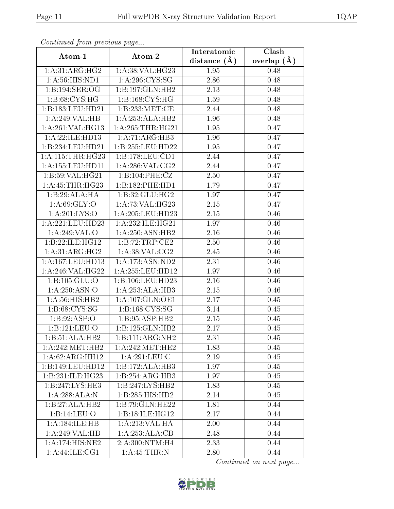| Continuea from previous page   |                                     | Interatomic       | Clash         |
|--------------------------------|-------------------------------------|-------------------|---------------|
| Atom-1                         | Atom-2                              | distance $(A)$    | overlap $(A)$ |
| 1:A:31:ARG:HG2                 | 1:A:38:VAL:HG23                     | 1.95              | 0.48          |
| $1: A: 56: \overline{HIS:ND1}$ | 1: A:296:CYS:SG                     | 2.86              | 0.48          |
| 1:B:194:SER:OG                 | $1:B:197:GLN:H\overline{B2}$        | 2.13              | 0.48          |
| 1:B:68:CYS:HG                  | 1:B:168:CYS:HG                      | 1.59              | 0.48          |
| 1:B:183:LEU:HD21               | 1:B:233:MET:CE                      | 2.44              | 0.48          |
| 1:A:249:VAL:HB                 | 1:A:253:ALA:HB2                     | 1.96              | 0.48          |
| 1:A:261:VAL:HG13               | 1: A:265:THR:HG21                   | 1.95              | 0.47          |
| 1:A:22:ILE:HD13                | 1:A:71:ARG:HB3                      | 1.96              | 0.47          |
| 1:B:234:LEU:HD21               | 1:B:255:LEU:HD22                    | 1.95              | 0.47          |
| 1:A:115:THR:HG23               | 1:B:178:LEU:CD1                     | 2.44              | 0.47          |
| 1: A: 155: LEU: HD11           | 1: A:286: VAL: CG2                  | 2.44              | 0.47          |
| 1:B:59:VAL:HG21                | 1:B:104:PHE:CZ                      | 2.50              | 0.47          |
| 1: A: 45: THR: HG23            | 1:B:182:PHE:HD1                     | 1.79              | 0.47          |
| 1:B:29:ALA:HA                  | 1:B:32:GLU:HG2                      | 1.97              | 0.47          |
| 1: A:69: GLY:O                 | 1: A:73:VAL:HG23                    | $2.15\,$          | 0.47          |
| 1:A:201:LYS:O                  | 1: A:205:LEU:HD23                   | 2.15              | 0.46          |
| 1: A:221:LEU:HD23              | 1:A:232:ILE:HG21                    | 1.97              | 0.46          |
| 1:A:249:VAL:O                  | 1:A:250:ASN:HB2                     | 2.16              | 0.46          |
| 1:B:22:ILE:HG12                | 1: B:72:TRP:CE2                     | 2.50              | 0.46          |
| 1:A:31:ARG:HG2                 | 1: A:38: VAL: CG2                   | 2.45              | 0.46          |
| 1:A:167:LEU:HD13               | $1:$ A:173:ASN:ND2                  | 2.31              | 0.46          |
| 1:A:246:VAL:HG22               | 1: A: 255: LEU: HD12                | 1.97              | 0.46          |
| 1:B:105:GLU:O                  | 1:B:106:LEU:HD23                    | 2.16              | 0.46          |
| 1:A:250:ASN:O                  | 1:A:253:ALA:HB3                     | $2.15\,$          | 0.46          |
| 1: A:56: HIS: HB2              | 1: A: 107: GLN: OE1                 | 2.17              | 0.45          |
| 1: B:68: CYS:SG                | 1:B:168:CYS:SG                      | 3.14              | 0.45          |
| 1:B:92:ASP:O                   | 1:B:95:ASP:HB2                      | $\overline{2}.15$ | 0.45          |
| 1:B:121:LEU:O                  | 1:B:125:GLN:HB2                     | 2.17              | 0.45          |
| $1:B:51:A\overline{LA:HB2}$    | 1:B:111:ARG:NH2                     | 2.31              | 0.45          |
| 1:A:242:MET:HB2                | 1: A:242:MET:HE2                    | 1.83              | 0.45          |
| 1:A:62:ARG:HH12                | $1:A:291:\overline{\textrm{LEU:C}}$ | 2.19              | 0.45          |
| 1:B:149:LEU:HD12               | 1:B:172:ALA:HB3                     | 1.97              | 0.45          |
| 1:B:231:ILE:HG23               | 1:B:254:ARG:HB3                     | 1.97              | 0.45          |
| 1: B: 247: LYS: HE3            | 1:B:247:LYS:HB2                     | 1.83              | 0.45          |
| 1:A:288:ALA:N                  | 1:B:285:HIS:HD2                     | 2.14              | 0.45          |
| 1:B:27:ALA:HB2                 | 1:B:79:GLN:HE22                     | 1.81              | 0.44          |
| 1:B:14:LEU:O                   | 1:B:18:ILE:HG12                     | 2.17              | 0.44          |
| 1:A:184:ILE:HB                 | 1: A:213: VAL: HA                   | 2.00              | 0.44          |
| 1:A:249:VAL:HB                 | 1:A:253:ALA:CB                      | 2.48              | 0.44          |
| 1:A:174:HIS:NE2                | 2:A:300:NTM:H4                      | 2.33              | 0.44          |
| 1:A:44:ILE:CG1                 | 1: A:45:THR:N                       | 2.80              | 0.44          |

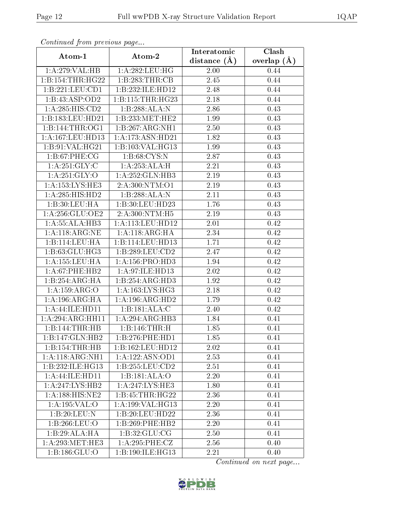| сонинией јтот ртеvиоиз раде |                     | Interatomic       | Clash         |
|-----------------------------|---------------------|-------------------|---------------|
| Atom-1                      | Atom-2              | distance $(A)$    | overlap $(A)$ |
| 1:A:279:VAL:H B             | 1: A:282:LEU:HG     | 2.00              | 0.44          |
| 1:B:154:THR:HG22            | 1:B:283:THR:CB      | $\overline{2}.45$ | 0.44          |
| 1:B:221:LEU:CD1             | 1:B:232:ILE:HD12    | 2.48              | 0.44          |
| 1:B:43:ASP:OD2              | 1:B:115:THR:HG23    | 2.18              | 0.44          |
| 1:A:285:HIS:CD2             | 1:B:288:ALA:N       | 2.86              | 0.43          |
| 1:B:183:LEU:HD21            | 1:B:233:MET:HE2     | 1.99              | 0.43          |
| 1:B:144:THR:OG1             | 1:B:267:ARG:NH1     | 2.50              | 0.43          |
| 1: A:167:LEU:HD13           | 1:A:173:ASN:HD21    | 1.82              | 0.43          |
| 1:B:91:VAL:HG21             | 1:B:103:VAL:HG13    | 1.99              | 0.43          |
| 1:B:67:PHE:CG               | 1: B:68: CYS:N      | 2.87              | 0.43          |
| 1: A:251: GLY: C            | 1:A:253:ALA:H       | 2.21              | 0.43          |
| 1: A:251: GLY:O             | 1: A: 252: GLN: HB3 | 2.19              | 0.43          |
| 1:A:153:LYS:HE3             | 2:A:300:NTM:O1      | 2.19              | 0.43          |
| 1: A:285: HIS: HD2          | 1:B:288:ALA:N       | 2.11              | 0.43          |
| 1:B:30:LEU:HA               | 1:B:30:LEU:HD23     | 1.76              | 0.43          |
| 1: A:256: GLU:OE2           | 2:A:300:NTM:H5      | 2.19              | 0.43          |
| 1:A:55:ALA:HB3              | 1:A:113:LEU:HD12    | 2.01              | 0.42          |
| 1: A:118: ARG: NE           | 1:A:118:ARG:HA      | 2.34              | 0.42          |
| 1:B:114:LEU:HA              | 1:B:114:LEU:HD13    | 1.71              | 0.42          |
| 1: B:63: GLU: HG3           | 1:B:289:LEU:CD2     | 2.47              | 0.42          |
| 1:A:155:LEU:HA              | 1: A: 156: PRO: HD3 | 1.94              | 0.42          |
| $1: A:67:$ PHE:HB2          | 1:A:97:ILE:HD13     | 2.02              | 0.42          |
| 1:B:254:ARG:HA              | 1:B:254:ARG:HD3     | $\overline{1.92}$ | 0.42          |
| 1:A:159:ARG:O               | 1: A: 163: LYS: HG3 | 2.18              | 0.42          |
| 1: A:196:ARG:HA             | 1:A:196:ARG:HD2     | 1.79              | 0.42          |
| 1:A:44:ILE:HD11             | 1:B:181:ALA:C       | 2.40              | 0.42          |
| 1:A:294:ARG:HH11            | 1:A:294:ARG:HB3     | 1.84              | 0.41          |
| 1:B:144:THR:HB              | 1:B:146:THR:H       | 1.85              | 0.41          |
| 1:B:147:GLN:HB2             | 1:B:276:PHE:HD1     | 1.85              | 0.41          |
| 1:B:154:THR:HB              | 1:B:162:LEU:HD12    | 2.02              | 0.41          |
| 1:A:118:ARG:NH1             | 1: A: 122: ASN: OD1 | 2.53              | 0.41          |
| 1:B:232:ILE:HG13            | $1:$ B:255:LEU:CD2  | 2.51              | 0.41          |
| 1:A:44:ILE:HD11             | 1:B:181:ALA:O       | 2.20              | 0.41          |
| 1: A:247: LYS: HB2          | 1: A:247:LYS:HE3    | 1.80              | 0.41          |
| 1:A:188:HIS:NE2             | 1:B:45:THR:HG22     | 2.36              | 0.41          |
| 1:A:195:VAL:O               | 1:A:199:VAL:HG13    | 2.20              | 0.41          |
| 1:B:20:LEU:N                | 1:B:20:LEU:HD22     | 2.36              | 0.41          |
| 1:B:266:LEU:O               | 1:B:269:PHE:HB2     | 2.20              | 0.41          |
| 1:B:29:ALA:HA               | 1: B:32: GLU:CG     | 2.50              | 0.41          |
| 1: A:293:MET:HE3            | 1:A:295:PHE:CZ      | 2.56              | 0.40          |
| 1:B:186:GLU:O               | 1:B:190:ILE:HG13    | 2.21              | 0.40          |

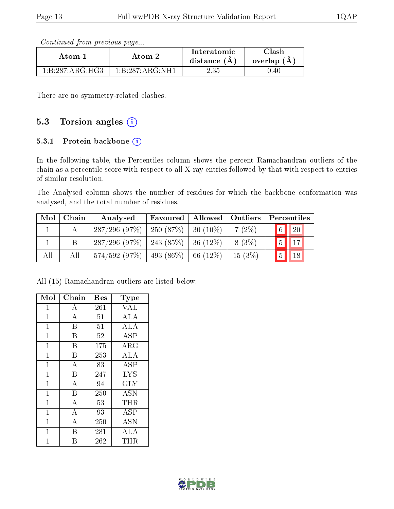| Continued from previous page |  |  |
|------------------------------|--|--|

| Atom-1          | Atom-2                                          | Interatomic<br>distance $(A)$ | Clash<br>overlap $(A)$ |
|-----------------|-------------------------------------------------|-------------------------------|------------------------|
| 1:B:287:ARG:HG3 | $1 \cdot B \cdot 287 \cdot A \cdot G \cdot NH1$ | 2.35                          | 1.40                   |

There are no symmetry-related clashes.

# 5.3 Torsion angles (i)

### 5.3.1 Protein backbone  $(i)$

In the following table, the Percentiles column shows the percent Ramachandran outliers of the chain as a percentile score with respect to all X-ray entries followed by that with respect to entries of similar resolution.

The Analysed column shows the number of residues for which the backbone conformation was analysed, and the total number of residues.

| Mol | Chain | Analysed                                  | <b>Favoured</b>   Allowed   Outliers |             |           | Percentiles           |
|-----|-------|-------------------------------------------|--------------------------------------|-------------|-----------|-----------------------|
|     |       | $287/296$ (97\%)   250 (87\%)   30 (10\%) |                                      |             | $7(2\%)$  | 6 <br><sup>20</sup>   |
|     |       | $287/296$ (97\%)   243 (85\%)   36 (12\%) |                                      |             | 8 (3\%)   | 17<br>$\vert 5 \vert$ |
| All | Аll   | $574/592$ (97\%)   493 (86\%)             |                                      | $166(12\%)$ | $15(3\%)$ | 5 <sup>1</sup><br>18  |

All (15) Ramachandran outliers are listed below:

| Mol            | Chain          | Res | Type       |
|----------------|----------------|-----|------------|
| 1              | A              | 261 | <b>VAL</b> |
| $\mathbf{1}$   | $\bf{A}$       | 51  | ALA        |
| $\overline{1}$ | B              | 51  | ALA        |
| 1              | B              | 52  | <b>ASP</b> |
| $\mathbf{1}$   | B              | 175 | $\rm{ARG}$ |
| $\overline{1}$ | B              | 253 | <b>ALA</b> |
| $\mathbf 1$    | $\overline{A}$ | 83  | <b>ASP</b> |
| $\overline{1}$ | B              | 247 | <b>LYS</b> |
| $\mathbf{1}$   | $\bf{A}$       | 94  | <b>GLY</b> |
| $\mathbf{1}$   | B              | 250 | <b>ASN</b> |
| $\overline{1}$ | $\bf{A}$       | 53  | THR        |
| $\mathbf{1}$   | $\overline{A}$ | 93  | <b>ASP</b> |
| $\mathbf 1$    | $\overline{A}$ | 250 | ASN        |
| $\overline{1}$ | В              | 281 | ALA        |
| 1              | В              | 262 | $\rm THR$  |

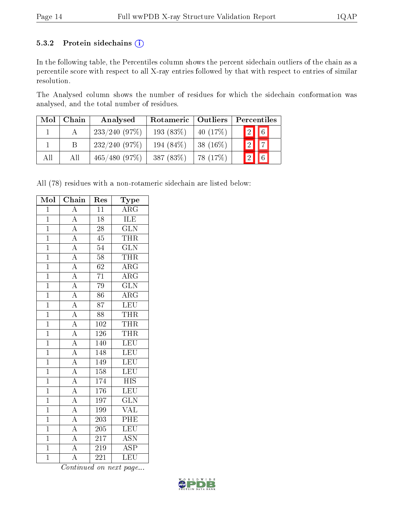#### 5.3.2 Protein sidechains (i)

In the following table, the Percentiles column shows the percent sidechain outliers of the chain as a percentile score with respect to all X-ray entries followed by that with respect to entries of similar resolution.

The Analysed column shows the number of residues for which the sidechain conformation was analysed, and the total number of residues.

| Mol | Chain | Analysed     | Rotameric   | $\vert$ Outliers | Percentiles                          |  |  |
|-----|-------|--------------|-------------|------------------|--------------------------------------|--|--|
|     |       | 233/240(97%) | 193 $(83%)$ | 40 $(17%)$       | $\vert 2 \vert \vert  \vert 6 \vert$ |  |  |
|     | Β     | 232/240(97%) | 194 (84\%)  | 38 $(16\%)$      | $\sqrt{2}$ $\sqrt{7}$                |  |  |
| All | All   | 465/480(97%) | 387 (83%)   | 78 (17%)         | $\boxed{2}$ $\boxed{6}$              |  |  |

All (78) residues with a non-rotameric sidechain are listed below:

| $Mo\overline{I}$ | Chain                                                                   | Res              | Type                      |
|------------------|-------------------------------------------------------------------------|------------------|---------------------------|
| $\mathbf{1}$     | $\overline{A}$                                                          | 11               | $\rm{ARG}$                |
| $\overline{1}$   | $\overline{A}$                                                          | $\overline{18}$  | <b>ILE</b>                |
| $\overline{1}$   | $\overline{A}$                                                          | $\overline{28}$  | $\overline{\text{GLN}}$   |
| $\overline{1}$   | $\overline{A}$                                                          | $\overline{45}$  | <b>THR</b>                |
| $\overline{1}$   | $\frac{\overline{A}}{\overline{A}}$                                     | $\overline{54}$  | $\overline{\text{GLN}}$   |
| $\overline{1}$   |                                                                         | $\overline{58}$  | <b>THR</b>                |
| $\overline{1}$   | $\overline{A}$                                                          | $\overline{62}$  | $\overline{\rm{ARG}}$     |
| $\overline{1}$   | $\frac{\overline{A}}{A}$                                                | $\overline{71}$  | $\overline{\rm{ARG}}$     |
| $\overline{1}$   |                                                                         | $\overline{79}$  | $\overline{\text{GLN}}$   |
| $\overline{1}$   | $\overline{A}$                                                          | $\overline{86}$  | $\overline{\rm{ARG}}$     |
| $\overline{1}$   | $\frac{1}{A}$                                                           | $\overline{87}$  | LEU                       |
| $\overline{1}$   | $\frac{\overline{A}}{A}$                                                | $\overline{88}$  | <b>THR</b>                |
| $\overline{1}$   |                                                                         | 102              | <b>THR</b>                |
| $\overline{1}$   | $\overline{A}$                                                          | $\overline{126}$ | <b>THR</b>                |
| $\overline{1}$   | $\frac{\overline{A}}{A}$                                                | 140              | LEU                       |
| $\overline{1}$   |                                                                         | 148              | LEU                       |
| $\overline{1}$   | $\frac{\overline{A}}{\overline{A}}$ $\frac{\overline{A}}{\overline{A}}$ | 149              | $\overline{\text{LEU}}$   |
| $\overline{1}$   |                                                                         | 158              | LEU                       |
| $\overline{1}$   |                                                                         | 174              | $\overline{\text{HIS}}$   |
| $\overline{1}$   |                                                                         | $\overline{176}$ | $\overline{\text{LEU}}$   |
| $\overline{1}$   |                                                                         | 197              | $\overline{\text{GLN}}$   |
| $\overline{1}$   | $\frac{\overline{A}}{\overline{A}}$                                     | 199              | <b>VAL</b>                |
| $\overline{1}$   |                                                                         | 203              | PHE                       |
| $\overline{1}$   | $\overline{A}$                                                          | $\overline{205}$ | LEU                       |
| $\overline{1}$   | $\frac{\overline{A}}{\overline{A}}$                                     | $\overline{217}$ | $\overline{\text{ASN}}$   |
| $\overline{1}$   |                                                                         | $\overline{219}$ | $\overline{\text{ASP}}$   |
| $\overline{1}$   | $\overline{\rm A}$                                                      | 221              | $\overline{\textrm{LEU}}$ |

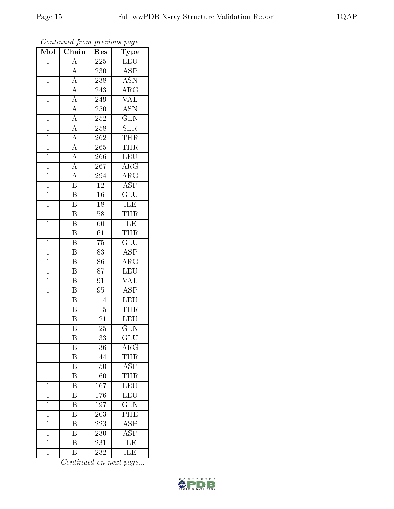| Mol            | Chain                                                                   | Res              | ${\bf Type}$              |
|----------------|-------------------------------------------------------------------------|------------------|---------------------------|
| $\mathbf{1}$   | $\overline{A}$                                                          | 225              | <b>LEU</b>                |
| $\overline{1}$ | $\overline{A}$                                                          | 230              | <b>ASP</b>                |
| $\mathbf{1}$   | $\frac{\overline{A}}{\overline{A}}$                                     | 238              | $\overline{\text{ASN}}$   |
| $\mathbf{1}$   |                                                                         | 243              | $\overline{\rm{ARG}}$     |
| $\overline{1}$ | $\frac{\overline{A}}{\overline{A}}$                                     | 249              | $\overline{\text{VAL}}$   |
| $\mathbf{1}$   |                                                                         | 250              | <b>ASN</b>                |
| $\overline{1}$ | $\frac{\overline{A}}{\overline{A}}$                                     | 252              | $\overline{\text{GLN}}$   |
| $\mathbf{1}$   |                                                                         | 258              | SER                       |
| $\mathbf{1}$   | $\frac{\overline{A}}{\overline{A}}$ $\frac{\overline{A}}{\overline{A}}$ | 262              | <b>THR</b>                |
| $\mathbf{1}$   |                                                                         | 265              | <b>THR</b>                |
| $\mathbf{1}$   |                                                                         | 266              | <b>LEU</b>                |
| $\overline{1}$ |                                                                         | 267              | $\overline{\text{ARG}}$   |
| $\overline{1}$ | $\frac{\overline{A}}{\overline{B}}$                                     | 294              | $\overline{\rm{ARG}}$     |
| $\mathbf{1}$   |                                                                         | $12\,$           | $\overline{\text{ASP}}$   |
| $\overline{1}$ | $\overline{\mathrm{B}}$                                                 | $\overline{16}$  | $\overline{{\rm GLU}}$    |
| $\mathbf 1$    | B                                                                       | 18               | $\overline{ILE}$          |
| $\overline{1}$ | $\overline{\mathrm{B}}$                                                 | $\overline{58}$  | <b>THR</b>                |
| $\mathbf{1}$   | $\overline{\mathbf{B}}$                                                 | 60               | ILE                       |
| $\mathbf 1$    | $\overline{\mathrm{B}}$                                                 | $\overline{61}$  | <b>THR</b>                |
| $\mathbf{1}$   | $\overline{\mathrm{B}}$                                                 | 75               | GLU                       |
| $\overline{1}$ | $\overline{\mathrm{B}}$                                                 | 83               | <b>ASP</b>                |
| $\overline{1}$ | $\overline{\mathbf{B}}$                                                 | $\overline{86}$  | $\overline{\rm{ARG}}$     |
| $\mathbf{1}$   | $\overline{\mathrm{B}}$                                                 | 87               | <b>LEU</b>                |
| $\overline{1}$ | $\overline{\mathrm{B}}$                                                 | $\overline{91}$  | $\overline{\text{VAL}}$   |
| $\mathbf{1}$   | $\overline{\mathrm{B}}$                                                 | 95               | $\overline{\text{ASP}}$   |
| $\mathbf{1}$   | $\overline{\text{B}}$                                                   | 114              | LEU                       |
| $\mathbf{1}$   | $\overline{B}$                                                          | $\overline{115}$ | <b>THR</b>                |
| $\mathbf{1}$   | B                                                                       | 121              | <b>LEU</b>                |
| $\mathbf 1$    | $\overline{\mathrm{B}}$                                                 | 125              | $\overline{\text{GLN}}$   |
| $\mathbf 1$    | Β                                                                       | 133              | $\overline{\text{GLU}}$   |
| $\mathbf 1$    | Β                                                                       | 136              | $\rm{ARG}$                |
| $\mathbf 1$    | $\overline{\mathrm{B}}$                                                 | 144              | <b>THR</b>                |
| $\mathbf{1}$   | Β                                                                       | 150              | ASP                       |
| $\mathbf{1}$   | $\overline{\mathrm{B}}$                                                 | 160              | THR                       |
| $\mathbf 1$    | Β                                                                       | 167              | LEU                       |
| $\mathbf 1$    | $\overline{\mathrm{B}}$                                                 | 176              | $\overline{\text{LEU}}$   |
| $\mathbf 1$    | Β                                                                       | 197              | $\overline{\text{GLN}}$   |
| $\mathbf 1$    | B                                                                       | $20\overline{3}$ | $\overline{\mathrm{PHE}}$ |
| $\mathbf{1}$   | Β                                                                       | 223              | $\overline{\text{ASP}}$   |
| $\mathbf{1}$   | Β                                                                       | 230              | <b>ASP</b>                |
| $\mathbf{1}$   | $\overline{\mathrm{B}}$                                                 | 231              | $\overline{\text{ILE}}$   |
| $\mathbf{1}$   | Β                                                                       | 232              | $\overline{\text{ILE}}$   |

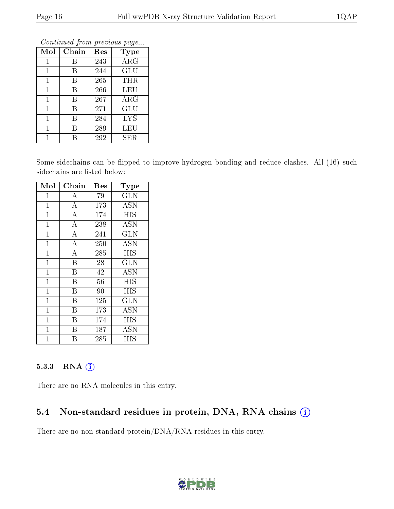| Mol            | Chain | Res | <b>Type</b> |
|----------------|-------|-----|-------------|
| 1              | В     | 243 | $\rm{ARG}$  |
| 1              | В     | 244 | GLU         |
| 1              | В     | 265 | THR         |
| 1              | В     | 266 | LEU         |
| 1              | В     | 267 | ${\rm ARG}$ |
| $\mathbf{1}$   | В     | 271 | GLU         |
| 1              | В     | 284 | <b>LYS</b>  |
| $\overline{1}$ | В     | 289 | LEU         |
|                | R     | 292 | SER         |

Some sidechains can be flipped to improve hydrogen bonding and reduce clashes. All (16) such sidechains are listed below:

| Mol            | Chain                   | Res | Type                    |
|----------------|-------------------------|-----|-------------------------|
| 1              | А                       | 79  | <b>GLN</b>              |
| $\mathbf{1}$   | $\bf{A}$                | 173 | <b>ASN</b>              |
| $\mathbf{1}$   | $\overline{A}$          | 174 | <b>HIS</b>              |
| $\mathbf{1}$   | $\overline{\rm A}$      | 238 | ASN                     |
| $\mathbf{1}$   | $\overline{\rm A}$      | 241 | $\overline{\text{GLN}}$ |
| $\mathbf 1$    | $\boldsymbol{A}$        | 250 | <b>ASN</b>              |
| $\mathbf{1}$   | $\bf{A}$                | 285 | HIS                     |
| $\mathbf{1}$   | $\overline{\mathrm{B}}$ | 28  | <b>GLN</b>              |
| $\overline{1}$ | B                       | 42  | <b>ASN</b>              |
| $\overline{1}$ | $\overline{\mathrm{B}}$ | 56  | <b>HIS</b>              |
| $\mathbf{1}$   | Β                       | 90  | HIS                     |
| $\mathbf{1}$   | B                       | 125 | <b>GLN</b>              |
| $\overline{1}$ | B                       | 173 | <b>ASN</b>              |
| $\overline{1}$ | В                       | 174 | <b>HIS</b>              |
| $\mathbf 1$    | B                       | 187 | $\rm \overline{A}SN$    |
| 1              | В                       | 285 | HIS                     |

#### 5.3.3 RNA [O](https://www.wwpdb.org/validation/2017/XrayValidationReportHelp#rna)i

There are no RNA molecules in this entry.

# 5.4 Non-standard residues in protein, DNA, RNA chains (i)

There are no non-standard protein/DNA/RNA residues in this entry.

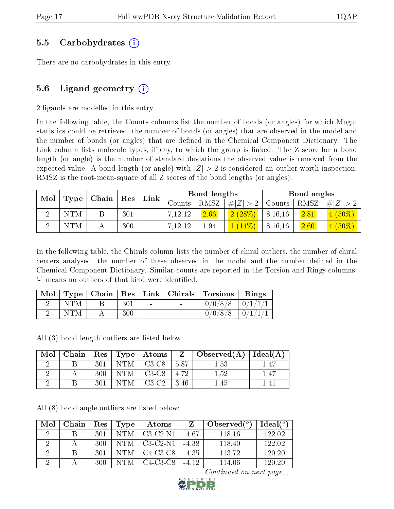### 5.5 Carbohydrates (i)

There are no carbohydrates in this entry.

# 5.6 Ligand geometry  $(i)$

2 ligands are modelled in this entry.

In the following table, the Counts columns list the number of bonds (or angles) for which Mogul statistics could be retrieved, the number of bonds (or angles) that are observed in the model and the number of bonds (or angles) that are defined in the Chemical Component Dictionary. The Link column lists molecule types, if any, to which the group is linked. The Z score for a bond length (or angle) is the number of standard deviations the observed value is removed from the expected value. A bond length (or angle) with  $|Z| > 2$  is considered an outlier worth inspection. RMSZ is the root-mean-square of all Z scores of the bond lengths (or angles).

| $\text{Mol}$   Type   Chain |                     | Bond lengths                 |         |       |             | Bond angles |      |           |
|-----------------------------|---------------------|------------------------------|---------|-------|-------------|-------------|------|-----------|
|                             | $\perp$ Res $\perp$ | $\lfloor$ Link $\rfloor$     | Counts  | RMSZ. | # $ Z  > 2$ | Counts      | RMSZ | # Z  > 2  |
| <b>NTM</b>                  | 301                 | $\qquad \qquad \blacksquare$ | 7,12,12 | 2.66  | 2(28%)      | 8, 16, 16   | 2.81 | $4(50\%)$ |
| <b>NTM</b>                  | 300                 | $\qquad \qquad \blacksquare$ | 7,12,12 | 1.94  | $(14\%)$    | 8, 16, 16   | 2.60 | $4(50\%)$ |

In the following table, the Chirals column lists the number of chiral outliers, the number of chiral centers analysed, the number of these observed in the model and the number defined in the Chemical Component Dictionary. Similar counts are reported in the Torsion and Rings columns. '-' means no outliers of that kind were identified.

|            |     |        |        | Mol   Type   Chain   Res   Link   Chirals   Torsions | Rings |
|------------|-----|--------|--------|------------------------------------------------------|-------|
| <b>NTM</b> | 301 | $\sim$ | $\sim$ | $0/0/8/8$ $0/1/1/1$                                  |       |
| NTM        | 300 | $\sim$ | $\sim$ | $0/0/8/8$   $0/1/1/1$                                |       |

All (3) bond length outliers are listed below:

| Mol | Chain |     |     | $\mid$ $\text{Res} \mid \text{Type} \mid \text{Atoms}$ |                     | $\overline{Z}$   Observed(A) | Ideal $(A)$ |
|-----|-------|-----|-----|--------------------------------------------------------|---------------------|------------------------------|-------------|
|     |       | 301 | NTM | $C3-C8$                                                | 5.87                | 1.53                         |             |
|     |       | 300 | NTM | $C3-C8$                                                | 4.72                | 1.52                         | 1.47        |
|     |       |     | NTM | $C3-C2$                                                | .46<br>$\mathbf{Q}$ | -45                          |             |

All (8) bond angle outliers are listed below:

| Mol | Chain | Res | Type       | Atoms                                          |         | Observed $(^\circ)$ | Ideal <sup>o</sup> |
|-----|-------|-----|------------|------------------------------------------------|---------|---------------------|--------------------|
|     |       | 301 | <b>NTM</b> | $C3-C2-N1$                                     | -467    | 118.16              | 122.02             |
|     |       | 300 | NTM        | - C3-C2-N1                                     | -4.38   | 118.40              | 122.02             |
|     | В     | 301 | NTM.       | $C4-C3-C8$                                     | $-4.35$ | 113.72              | 120.20             |
|     |       | 300 | NTM        | C <sub>4</sub> -C <sub>3</sub> -C <sub>8</sub> | $-412$  | 114.06              | 120.20             |

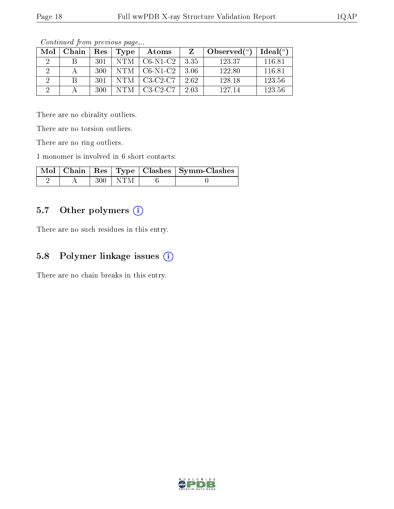| Mol | Chain |     | Res   Type | Atoms      |       | Observed $(°)$ | Ideal $(°)$ |
|-----|-------|-----|------------|------------|-------|----------------|-------------|
|     |       | 301 | NTM        | $CG-N1-C2$ | -3.35 | 123.37         | 116.81      |
|     |       | 300 | -NTM-1     | $C6-N1-C2$ | -3.06 | 122.80         | 116.81      |
|     |       | 301 | NTM.       | $C3-C2-C7$ | 2.62  | 128.18         | 123.56      |
|     |       | 300 | NTM        | $C3-C2-C7$ | 2.03  | 127 14         | 123.56      |

There are no chirality outliers.

There are no torsion outliers.

There are no ring outliers.

1 monomer is involved in 6 short contacts:

|  |             | Mol   Chain   Res   Type   Clashes   Symm-Clashes |
|--|-------------|---------------------------------------------------|
|  | $300 + NTM$ |                                                   |

# 5.7 [O](https://www.wwpdb.org/validation/2017/XrayValidationReportHelp#nonstandard_residues_and_ligands)ther polymers (i)

There are no such residues in this entry.

# 5.8 Polymer linkage issues (i)

There are no chain breaks in this entry.